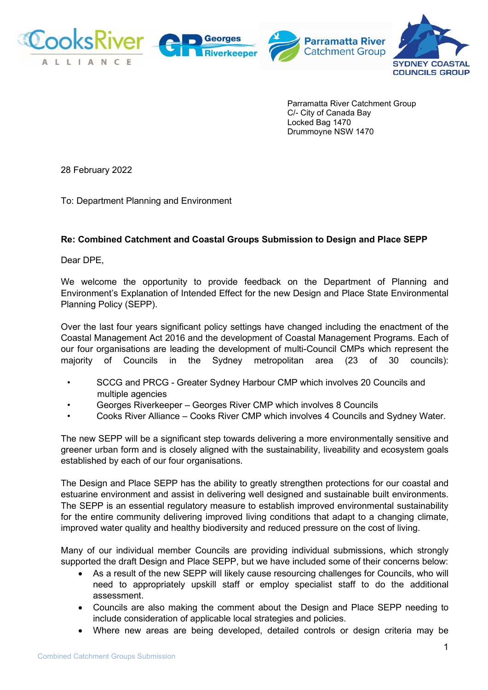





Parramatta River Catchment Group C/- City of Canada Bay Locked Bag 1470 Drummoyne NSW 1470

28 February 2022

To: Department Planning and Environment

# **Re: Combined Catchment and Coastal Groups Submission to Design and Place SEPP**

**Georges** 

**Riverkeeper** 

Dear DPE,

We welcome the opportunity to provide feedback on the Department of Planning and Environment's Explanation of Intended Effect for the new Design and Place State Environmental Planning Policy (SEPP).

Over the last four years significant policy settings have changed including the enactment of the Coastal Management Act 2016 and the development of Coastal Management Programs. Each of our four organisations are leading the development of multi-Council CMPs which represent the majority of Councils in the Sydney metropolitan area (23 of 30 councils):

- SCCG and PRCG Greater Sydney Harbour CMP which involves 20 Councils and multiple agencies
- Georges Riverkeeper Georges River CMP which involves 8 Councils
- Cooks River Alliance Cooks River CMP which involves 4 Councils and Sydney Water.

The new SEPP will be a significant step towards delivering a more environmentally sensitive and greener urban form and is closely aligned with the sustainability, liveability and ecosystem goals established by each of our four organisations.

The Design and Place SEPP has the ability to greatly strengthen protections for our coastal and estuarine environment and assist in delivering well designed and sustainable built environments. The SEPP is an essential regulatory measure to establish improved environmental sustainability for the entire community delivering improved living conditions that adapt to a changing climate, improved water quality and healthy biodiversity and reduced pressure on the cost of living.

Many of our individual member Councils are providing individual submissions, which strongly supported the draft Design and Place SEPP, but we have included some of their concerns below:

- As a result of the new SEPP will likely cause resourcing challenges for Councils, who will need to appropriately upskill staff or employ specialist staff to do the additional assessment.
- Councils are also making the comment about the Design and Place SEPP needing to include consideration of applicable local strategies and policies.
- Where new areas are being developed, detailed controls or design criteria may be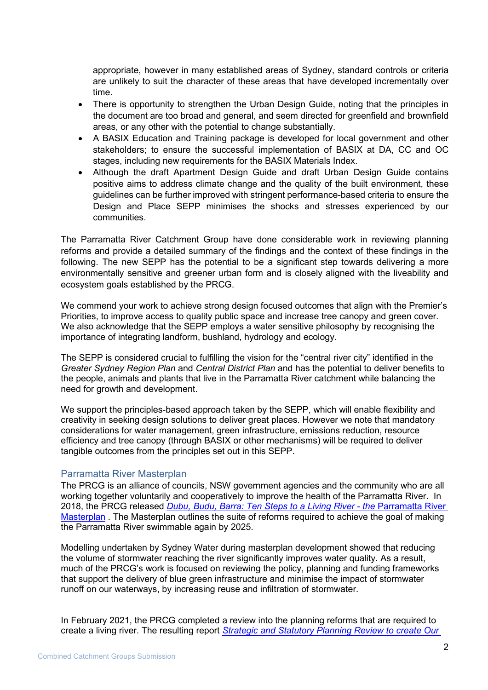appropriate, however in many established areas of Sydney, standard controls or criteria are unlikely to suit the character of these areas that have developed incrementally over time.

- There is opportunity to strengthen the Urban Design Guide, noting that the principles in the document are too broad and general, and seem directed for greenfield and brownfield areas, or any other with the potential to change substantially.
- A BASIX Education and Training package is developed for local government and other stakeholders; to ensure the successful implementation of BASIX at DA, CC and OC stages, including new requirements for the BASIX Materials Index.
- Although the draft Apartment Design Guide and draft Urban Design Guide contains positive aims to address climate change and the quality of the built environment, these guidelines can be further improved with stringent performance-based criteria to ensure the Design and Place SEPP minimises the shocks and stresses experienced by our communities.

The Parramatta River Catchment Group have done considerable work in reviewing planning reforms and provide a detailed summary of the findings and the context of these findings in the following. The new SEPP has the potential to be a significant step towards delivering a more environmentally sensitive and greener urban form and is closely aligned with the liveability and ecosystem goals established by the PRCG.

We commend your work to achieve strong design focused outcomes that align with the Premier's Priorities, to improve access to quality public space and increase tree canopy and green cover. We also acknowledge that the SEPP employs a water sensitive philosophy by recognising the importance of integrating landform, bushland, hydrology and ecology.

The SEPP is considered crucial to fulfilling the vision for the "central river city" identified in the *Greater Sydney Region Plan* and *Central District Plan* and has the potential to deliver benefits to the people, animals and plants that live in the Parramatta River catchment while balancing the need for growth and development.

We support the principles-based approach taken by the SEPP, which will enable flexibility and creativity in seeking design solutions to deliver great places. However we note that mandatory considerations for water management, green infrastructure, emissions reduction, resource efficiency and tree canopy (through BASIX or other mechanisms) will be required to deliver tangible outcomes from the principles set out in this SEPP.

## Parramatta River Masterplan

The PRCG is an alliance of councils, NSW government agencies and the community who are all working together voluntarily and cooperatively to improve the health of the Parramatta River. In 2018, the PRCG released *[Dubu, Budu, Barra: Ten Steps to a Living River -](https://www.ourlivingriver.com.au/our-plan/parramatta-river-masterplan/) the* Parramatta River [Masterplan](https://www.ourlivingriver.com.au/our-plan/parramatta-river-masterplan/) . The Masterplan outlines the suite of reforms required to achieve the goal of making the Parramatta River swimmable again by 2025.

Modelling undertaken by Sydney Water during masterplan development showed that reducing the volume of stormwater reaching the river significantly improves water quality. As a result, much of the PRCG's work is focused on reviewing the policy, planning and funding frameworks that support the delivery of blue green infrastructure and minimise the impact of stormwater runoff on our waterways, by increasing reuse and infiltration of stormwater.

In February 2021, the PRCG completed a review into the planning reforms that are required to create a living river. The resulting report *[Strategic and Statutory Planning Review to create Our](http://www.ourlivingriver.com.au/content/uploads/2021/02/Recommendations-paper-Rev-F-11-Feb-2021.pdf)*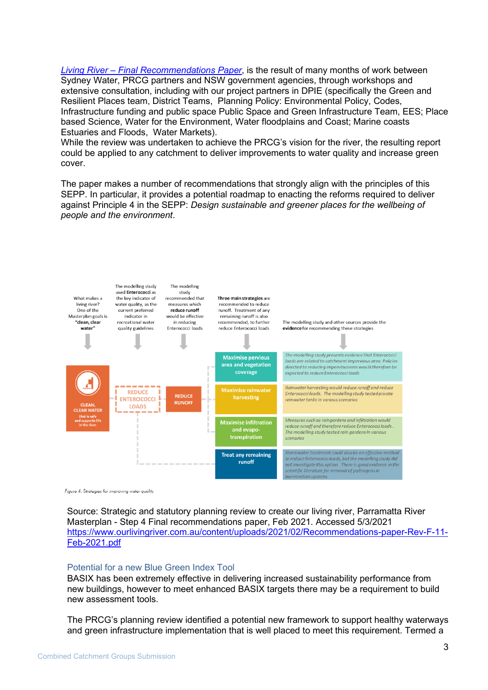*[Living River – Final Recommendations Paper](http://www.ourlivingriver.com.au/content/uploads/2021/02/Recommendations-paper-Rev-F-11-Feb-2021.pdf)*, is the result of many months of work between Sydney Water, PRCG partners and NSW government agencies, through workshops and extensive consultation, including with our project partners in DPIE (specifically the Green and Resilient Places team, District Teams, Planning Policy: Environmental Policy, Codes, Infrastructure funding and public space Public Space and Green Infrastructure Team, EES; Place based Science, Water for the Environment, Water floodplains and Coast; Marine coasts Estuaries and Floods, Water Markets).

While the review was undertaken to achieve the PRCG's vision for the river, the resulting report could be applied to any catchment to deliver improvements to water quality and increase green cover.

The paper makes a number of recommendations that strongly align with the principles of this SEPP. In particular, it provides a potential roadmap to enacting the reforms required to deliver against Principle 4 in the SEPP: *Design sustainable and greener places for the wellbeing of people and the environment*.



Figure 4: Strategies for improving water quality

Source: Strategic and statutory planning review to create our living river, Parramatta River Masterplan - Step 4 Final recommendations paper, Feb 2021. Accessed 5/3/2021 [https://www.ourlivingriver.com.au/content/uploads/2021/02/Recommendations-paper-Rev-F-11-](https://www.ourlivingriver.com.au/content/uploads/2021/02/Recommendations-paper-Rev-F-11-Feb-2021.pdf) [Feb-2021.pdf](https://www.ourlivingriver.com.au/content/uploads/2021/02/Recommendations-paper-Rev-F-11-Feb-2021.pdf)

### Potential for a new Blue Green Index Tool

BASIX has been extremely effective in delivering increased sustainability performance from new buildings, however to meet enhanced BASIX targets there may be a requirement to build new assessment tools.

The PRCG's planning review identified a potential new framework to support healthy waterways and green infrastructure implementation that is well placed to meet this requirement. Termed a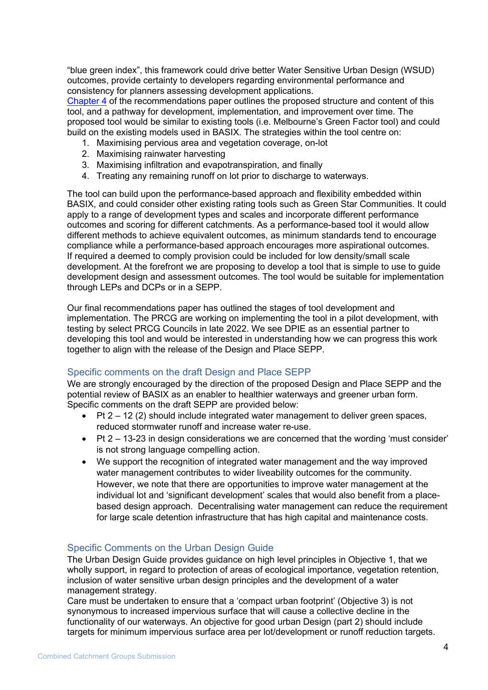"blue green index", this framework could drive better Water Sensitive Urban Design (WSUD) outcomes, provide certainty to developers regarding environmental performance and consistency for planners assessing development applications.

[Chapter 4](https://www.ourlivingriver.com.au/content/uploads/2021/02/Recommendations-paper-Rev-F-11-Feb-2021.pdf) of the recommendations paper outlines the proposed structure and content of this tool, and a pathway for development, implementation, and improvement over time. The proposed tool would be similar to existing tools (i.e. Melbourne's Green Factor tool) and could build on the existing models used in BASIX. The strategies within the tool centre on:

- 1. Maximising pervious area and vegetation coverage, on-lot
- 2. Maximising rainwater harvesting
- 3. Maximising infiltration and evapotranspiration, and finally
- 4. Treating any remaining runoff on lot prior to discharge to waterways.

The tool can build upon the performance-based approach and flexibility embedded within BASIX, and could consider other existing rating tools such as Green Star Communities. It could apply to a range of development types and scales and incorporate different performance outcomes and scoring for different catchments. As a performance-based tool it would allow different methods to achieve equivalent outcomes, as minimum standards tend to encourage compliance while a performance-based approach encourages more aspirational outcomes. If required a deemed to comply provision could be included for low density/small scale development. At the forefront we are proposing to develop a tool that is simple to use to guide development design and assessment outcomes. The tool would be suitable for implementation through LEPs and DCPs or in a SEPP.

Our final recommendations paper has outlined the stages of tool development and implementation. The PRCG are working on implementing the tool in a pilot development, with testing by select PRCG Councils in late 2022. We see DPIE as an essential partner to developing this tool and would be interested in understanding how we can progress this work together to align with the release of the Design and Place SEPP.

## Specific comments on the draft Design and Place SEPP

We are strongly encouraged by the direction of the proposed Design and Place SEPP and the potential review of BASIX as an enabler to healthier waterways and greener urban form. Specific comments on the draft SEPP are provided below:

- Pt 2 12 (2) should include integrated water management to deliver green spaces, reduced stormwater runoff and increase water re-use.
- Pt 2 13-23 in design considerations we are concerned that the wording 'must consider' is not strong language compelling action.
- We support the recognition of integrated water management and the way improved water management contributes to wider liveability outcomes for the community. However, we note that there are opportunities to improve water management at the individual lot and 'significant development' scales that would also benefit from a placebased design approach. Decentralising water management can reduce the requirement for large scale detention infrastructure that has high capital and maintenance costs.

### Specific Comments on the Urban Design Guide

The Urban Design Guide provides guidance on high level principles in Objective 1, that we wholly support, in regard to protection of areas of ecological importance, vegetation retention, inclusion of water sensitive urban design principles and the development of a water management strategy.

Care must be undertaken to ensure that a 'compact urban footprint' (Objective 3) is not synonymous to increased impervious surface that will cause a collective decline in the functionality of our waterways. An objective for good urban Design (part 2) should include targets for minimum impervious surface area per lot/development or runoff reduction targets.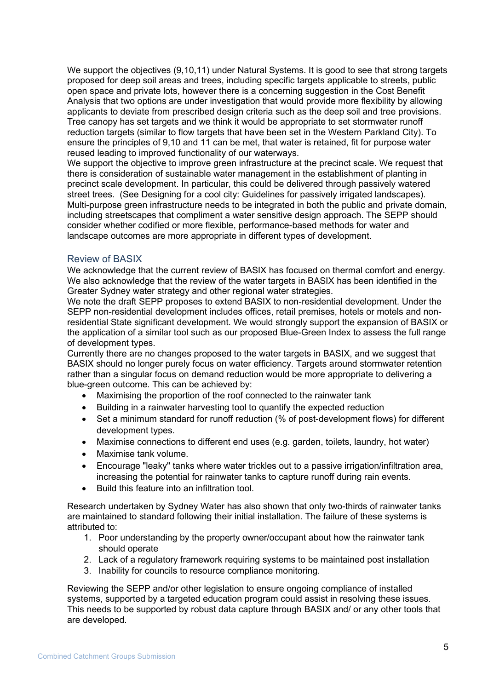We support the objectives (9,10,11) under Natural Systems. It is good to see that strong targets proposed for deep soil areas and trees, including specific targets applicable to streets, public open space and private lots, however there is a concerning suggestion in the Cost Benefit Analysis that two options are under investigation that would provide more flexibility by allowing applicants to deviate from prescribed design criteria such as the deep soil and tree provisions. Tree canopy has set targets and we think it would be appropriate to set stormwater runoff reduction targets (similar to flow targets that have been set in the Western Parkland City). To ensure the principles of 9,10 and 11 can be met, that water is retained, fit for purpose water reused leading to improved functionality of our waterways.

We support the objective to improve green infrastructure at the precinct scale. We request that there is consideration of sustainable water management in the establishment of planting in precinct scale development. In particular, this could be delivered through passively watered street trees. (See [Designing for a cool city: Guidelines for passively irrigated landscapes\)](https://watersensitivecities.org.au/content/new-passive-irrigation-guidelines-to-cool-our-cities/). Multi-purpose green infrastructure needs to be integrated in both the public and private domain, including streetscapes that compliment a water sensitive design approach. The SEPP should consider whether codified or more flexible, performance-based methods for water and landscape outcomes are more appropriate in different types of development.

### Review of BASIX

We acknowledge that the current review of BASIX has focused on thermal comfort and energy. We also acknowledge that the review of the water targets in BASIX has been identified in the Greater Sydney water strategy and other regional water strategies.

We note the draft SEPP proposes to extend BASIX to non-residential development. Under the SEPP non-residential development includes offices, retail premises, hotels or motels and nonresidential State significant development. We would strongly support the expansion of BASIX or the application of a similar tool such as our proposed Blue-Green Index to assess the full range of development types.

Currently there are no changes proposed to the water targets in BASIX, and we suggest that BASIX should no longer purely focus on water efficiency. Targets around stormwater retention rather than a singular focus on demand reduction would be more appropriate to delivering a blue-green outcome. This can be achieved by:

- Maximising the proportion of the roof connected to the rainwater tank
- Building in a rainwater harvesting tool to quantify the expected reduction
- Set a minimum standard for runoff reduction (% of post-development flows) for different development types.
- Maximise connections to different end uses (e.g. garden, toilets, laundry, hot water)
- Maximise tank volume.
- Encourage "leaky" tanks where water trickles out to a passive irrigation/infiltration area, increasing the potential for rainwater tanks to capture runoff during rain events.
- Build this feature into an infiltration tool.

Research undertaken by Sydney Water has also shown that only two-thirds of rainwater tanks are maintained to standard following their initial installation. The failure of these systems is attributed to:

- 1. Poor understanding by the property owner/occupant about how the rainwater tank should operate
- 2. Lack of a regulatory framework requiring systems to be maintained post installation
- 3. Inability for councils to resource compliance monitoring.

Reviewing the SEPP and/or other legislation to ensure ongoing compliance of installed systems, supported by a targeted education program could assist in resolving these issues. This needs to be supported by robust data capture through BASIX and/ or any other tools that are developed.